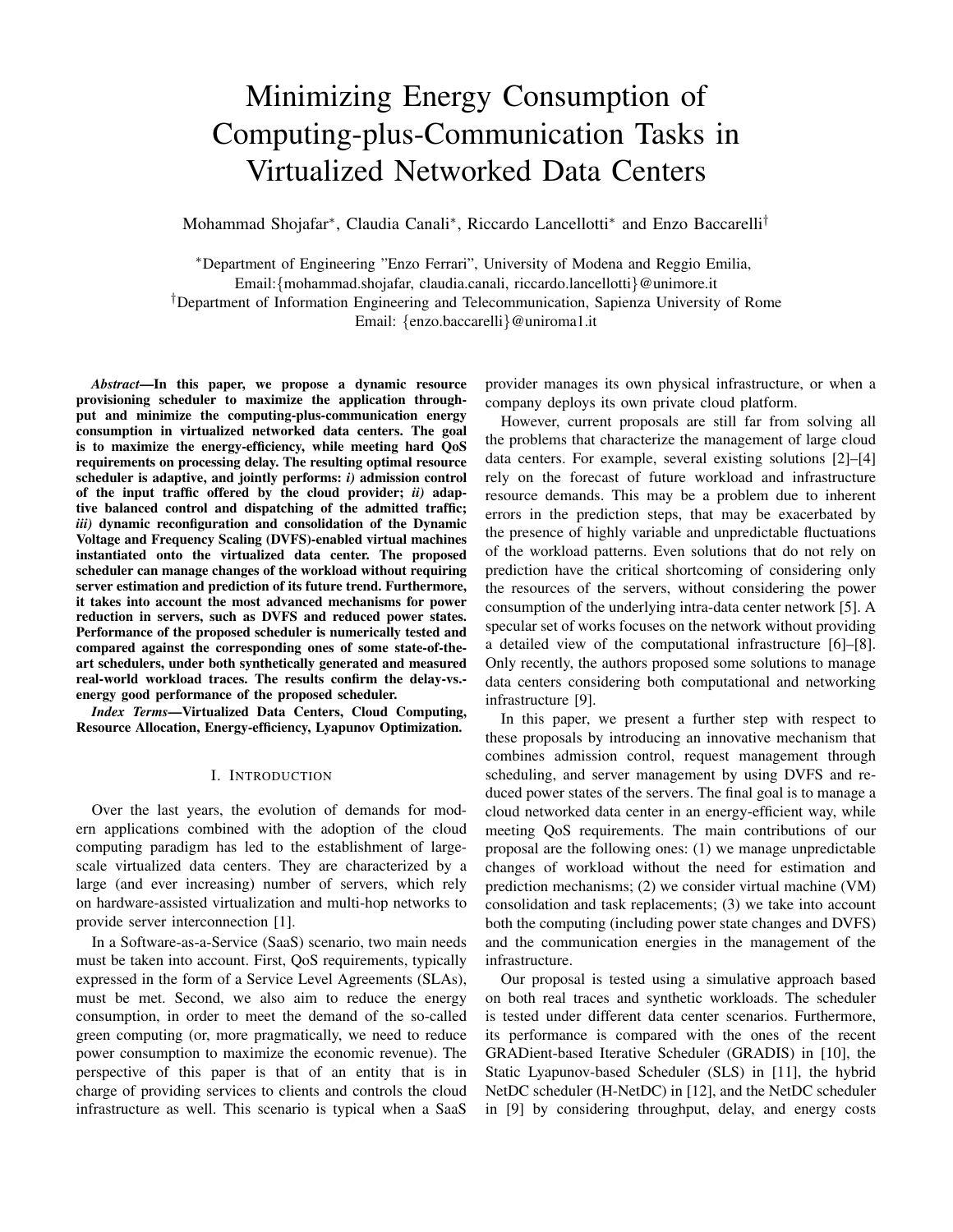# Minimizing Energy Consumption of Computing-plus-Communication Tasks in Virtualized Networked Data Centers

Mohammad Shojafar<sup>∗</sup>, Claudia Canali<sup>∗</sup>, Riccardo Lancellotti<sup>∗</sup> and Enzo Baccarelli<sup>†</sup>

<sup>∗</sup>Department of Engineering "Enzo Ferrari", University of Modena and Reggio Emilia, Email:{mohammad.shojafar, claudia.canali, riccardo.lancellotti}@unimore.it †Department of Information Engineering and Telecommunication, Sapienza University of Rome Email: {enzo.baccarelli}@uniroma1.it

*Abstract*—In this paper, we propose a dynamic resource provisioning scheduler to maximize the application throughput and minimize the computing-plus-communication energy consumption in virtualized networked data centers. The goal is to maximize the energy-efficiency, while meeting hard QoS requirements on processing delay. The resulting optimal resource scheduler is adaptive, and jointly performs: *i)* admission control of the input traffic offered by the cloud provider; *ii)* adaptive balanced control and dispatching of the admitted traffic; *iii)* dynamic reconfiguration and consolidation of the Dynamic Voltage and Frequency Scaling (DVFS)-enabled virtual machines instantiated onto the virtualized data center. The proposed scheduler can manage changes of the workload without requiring server estimation and prediction of its future trend. Furthermore, it takes into account the most advanced mechanisms for power reduction in servers, such as DVFS and reduced power states. Performance of the proposed scheduler is numerically tested and compared against the corresponding ones of some state-of-theart schedulers, under both synthetically generated and measured real-world workload traces. The results confirm the delay-vs. energy good performance of the proposed scheduler.

*Index Terms*—Virtualized Data Centers, Cloud Computing, Resource Allocation, Energy-efficiency, Lyapunov Optimization.

## I. INTRODUCTION

Over the last years, the evolution of demands for modern applications combined with the adoption of the cloud computing paradigm has led to the establishment of largescale virtualized data centers. They are characterized by a large (and ever increasing) number of servers, which rely on hardware-assisted virtualization and multi-hop networks to provide server interconnection [1].

In a Software-as-a-Service (SaaS) scenario, two main needs must be taken into account. First, QoS requirements, typically expressed in the form of a Service Level Agreements (SLAs), must be met. Second, we also aim to reduce the energy consumption, in order to meet the demand of the so-called green computing (or, more pragmatically, we need to reduce power consumption to maximize the economic revenue). The perspective of this paper is that of an entity that is in charge of providing services to clients and controls the cloud infrastructure as well. This scenario is typical when a SaaS

provider manages its own physical infrastructure, or when a company deploys its own private cloud platform.

However, current proposals are still far from solving all the problems that characterize the management of large cloud data centers. For example, several existing solutions [2]–[4] rely on the forecast of future workload and infrastructure resource demands. This may be a problem due to inherent errors in the prediction steps, that may be exacerbated by the presence of highly variable and unpredictable fluctuations of the workload patterns. Even solutions that do not rely on prediction have the critical shortcoming of considering only the resources of the servers, without considering the power consumption of the underlying intra-data center network [5]. A specular set of works focuses on the network without providing a detailed view of the computational infrastructure [6]–[8]. Only recently, the authors proposed some solutions to manage data centers considering both computational and networking infrastructure [9].

In this paper, we present a further step with respect to these proposals by introducing an innovative mechanism that combines admission control, request management through scheduling, and server management by using DVFS and reduced power states of the servers. The final goal is to manage a cloud networked data center in an energy-efficient way, while meeting QoS requirements. The main contributions of our proposal are the following ones: (1) we manage unpredictable changes of workload without the need for estimation and prediction mechanisms; (2) we consider virtual machine (VM) consolidation and task replacements; (3) we take into account both the computing (including power state changes and DVFS) and the communication energies in the management of the infrastructure.

Our proposal is tested using a simulative approach based on both real traces and synthetic workloads. The scheduler is tested under different data center scenarios. Furthermore, its performance is compared with the ones of the recent GRADient-based Iterative Scheduler (GRADIS) in [10], the Static Lyapunov-based Scheduler (SLS) in [11], the hybrid NetDC scheduler (H-NetDC) in [12], and the NetDC scheduler in [9] by considering throughput, delay, and energy costs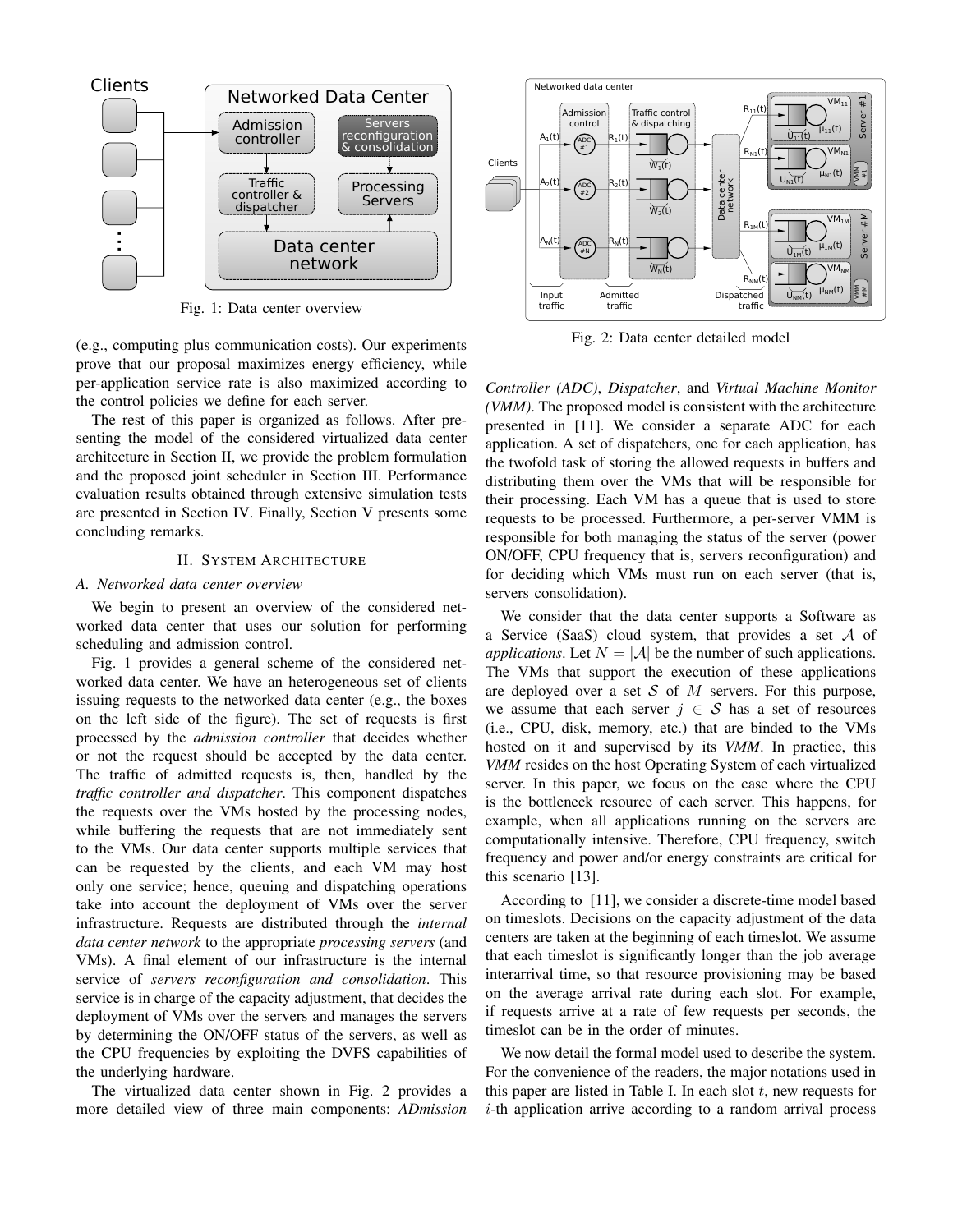

Fig. 1: Data center overview

(e.g., computing plus communication costs). Our experiments prove that our proposal maximizes energy efficiency, while per-application service rate is also maximized according to the control policies we define for each server.

The rest of this paper is organized as follows. After presenting the model of the considered virtualized data center architecture in Section II, we provide the problem formulation and the proposed joint scheduler in Section III. Performance evaluation results obtained through extensive simulation tests are presented in Section IV. Finally, Section V presents some concluding remarks.

#### II. SYSTEM ARCHITECTURE

## *A. Networked data center overview*

We begin to present an overview of the considered networked data center that uses our solution for performing scheduling and admission control.

Fig. 1 provides a general scheme of the considered networked data center. We have an heterogeneous set of clients issuing requests to the networked data center (e.g., the boxes on the left side of the figure). The set of requests is first processed by the *admission controller* that decides whether or not the request should be accepted by the data center. The traffic of admitted requests is, then, handled by the *traffic controller and dispatcher*. This component dispatches the requests over the VMs hosted by the processing nodes, while buffering the requests that are not immediately sent to the VMs. Our data center supports multiple services that can be requested by the clients, and each VM may host only one service; hence, queuing and dispatching operations take into account the deployment of VMs over the server infrastructure. Requests are distributed through the *internal data center network* to the appropriate *processing servers* (and VMs). A final element of our infrastructure is the internal service of *servers reconfiguration and consolidation*. This service is in charge of the capacity adjustment, that decides the deployment of VMs over the servers and manages the servers by determining the ON/OFF status of the servers, as well as the CPU frequencies by exploiting the DVFS capabilities of the underlying hardware.

The virtualized data center shown in Fig. 2 provides a more detailed view of three main components: *ADmission*



Fig. 2: Data center detailed model

*Controller (ADC)*, *Dispatcher*, and *Virtual Machine Monitor (VMM)*. The proposed model is consistent with the architecture presented in [11]. We consider a separate ADC for each application. A set of dispatchers, one for each application, has the twofold task of storing the allowed requests in buffers and distributing them over the VMs that will be responsible for their processing. Each VM has a queue that is used to store requests to be processed. Furthermore, a per-server VMM is responsible for both managing the status of the server (power ON/OFF, CPU frequency that is, servers reconfiguration) and for deciding which VMs must run on each server (that is, servers consolidation).

We consider that the data center supports a Software as a Service (SaaS) cloud system, that provides a set  $A$  of *applications*. Let  $N = |\mathcal{A}|$  be the number of such applications. The VMs that support the execution of these applications are deployed over a set  $S$  of  $M$  servers. For this purpose, we assume that each server  $j \in S$  has a set of resources (i.e., CPU, disk, memory, etc.) that are binded to the VMs hosted on it and supervised by its *VMM*. In practice, this *VMM* resides on the host Operating System of each virtualized server. In this paper, we focus on the case where the CPU is the bottleneck resource of each server. This happens, for example, when all applications running on the servers are computationally intensive. Therefore, CPU frequency, switch frequency and power and/or energy constraints are critical for this scenario [13].

According to [11], we consider a discrete-time model based on timeslots. Decisions on the capacity adjustment of the data centers are taken at the beginning of each timeslot. We assume that each timeslot is significantly longer than the job average interarrival time, so that resource provisioning may be based on the average arrival rate during each slot. For example, if requests arrive at a rate of few requests per seconds, the timeslot can be in the order of minutes.

We now detail the formal model used to describe the system. For the convenience of the readers, the major notations used in this paper are listed in Table I. In each slot  $t$ , new requests for  $i$ -th application arrive according to a random arrival process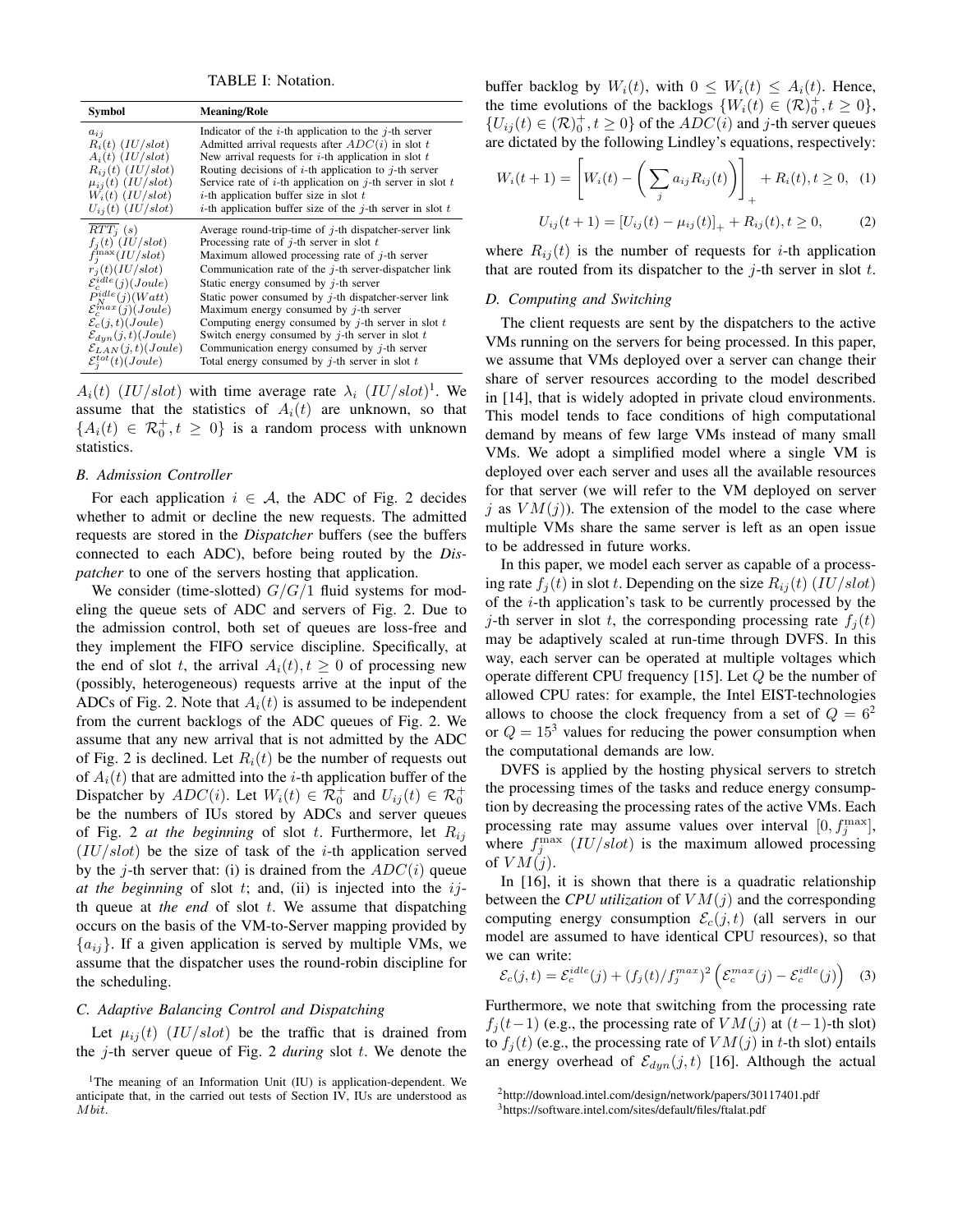TABLE I: Notation.

| Symbol                                   | <b>Meaning/Role</b>                                                       |
|------------------------------------------|---------------------------------------------------------------------------|
| $a_{ij}$                                 | Indicator of the <i>i</i> -th application to the <i>j</i> -th server      |
| $R_i(t)$ (IU/slot)                       | Admitted arrival requests after $ADC(i)$ in slot t                        |
| $A_i(t)$ (IU/slot)                       | New arrival requests for $i$ -th application in slot $t$                  |
| $R_{ij}(t)$ (IU/slot)                    | Routing decisions of $i$ -th application to $j$ -th server                |
| $\mu_{ij}(t)$ (IU/slot)                  | Service rate of <i>i</i> -th application on <i>j</i> -th server in slot t |
| $W_i(t)$ (IU/slot)                       | $i$ -th application buffer size in slot $t$                               |
| $U_{ij}(t)$ (IU/slot)                    | <i>i</i> -th application buffer size of the <i>j</i> -th server in slot t |
| $\overline{RTT_i}(s)$                    | Average round-trip-time of $j$ -th dispatcher-server link                 |
| $f_i(t)$ (IU/slot)                       | Processing rate of $j$ -th server in slot $t$                             |
| $f_i^{\max}(IU/slot)$                    | Maximum allowed processing rate of $j$ -th server                         |
| $r_i(t)(IU/slot)$                        | Communication rate of the $j$ -th server-dispatcher link                  |
| $\mathcal{E}$ <sup>idle</sup> (j)(Joule) | Static energy consumed by $j$ -th server                                  |
| $P_N^{idle}(j)(Watt)$                    | Static power consumed by $j$ -th dispatcher-server link                   |
| $\mathcal{E}_c^{max}(j)(Joule)$          | Maximum energy consumed by $j$ -th server                                 |
| $\mathcal{E}_c(j,t)$ ( <i>Joule</i> )    | Computing energy consumed by $j$ -th server in slot t                     |
| $\mathcal{E}_{dyn}(j,t)(Joule)$          | Switch energy consumed by $j$ -th server in slot $t$                      |
| $\mathcal{E}_{LAN}(j,t)(Joule)$          | Communication energy consumed by $j$ -th server                           |
| $\mathcal{E}_{i}^{tot}(t)(Joule)$        | Total energy consumed by $j$ -th server in slot $t$                       |

 $A_i(t)$  (IU/slot) with time average rate  $\lambda_i$  (IU/slot)<sup>1</sup>. We assume that the statistics of  $A_i(t)$  are unknown, so that  ${A_i(t) \in \mathcal{R}_0^+, t \geq 0}$  is a random process with unknown statistics.

#### *B. Admission Controller*

For each application  $i \in A$ , the ADC of Fig. 2 decides whether to admit or decline the new requests. The admitted requests are stored in the *Dispatcher* buffers (see the buffers connected to each ADC), before being routed by the *Dispatcher* to one of the servers hosting that application.

We consider (time-slotted)  $G/G/1$  fluid systems for modeling the queue sets of ADC and servers of Fig. 2. Due to the admission control, both set of queues are loss-free and they implement the FIFO service discipline. Specifically, at the end of slot t, the arrival  $A_i(t)$ ,  $t \geq 0$  of processing new (possibly, heterogeneous) requests arrive at the input of the ADCs of Fig. 2. Note that  $A_i(t)$  is assumed to be independent from the current backlogs of the ADC queues of Fig. 2. We assume that any new arrival that is not admitted by the ADC of Fig. 2 is declined. Let  $R_i(t)$  be the number of requests out of  $A_i(t)$  that are admitted into the *i*-th application buffer of the Dispatcher by  $ADC(i)$ . Let  $W_i(t) \in \mathcal{R}_0^+$  and  $U_{ij}(t) \in \mathcal{R}_0^+$ be the numbers of IUs stored by ADCs and server queues of Fig. 2 *at the beginning* of slot t. Furthermore, let  $R_{ij}$  $(IU/slot)$  be the size of task of the *i*-th application served by the *j*-th server that: (i) is drained from the  $ADC(i)$  queue *at the beginning* of slot  $t$ ; and, (ii) is injected into the  $ij$ th queue at *the end* of slot t. We assume that dispatching occurs on the basis of the VM-to-Server mapping provided by  ${a_{ij}}$ . If a given application is served by multiple VMs, we assume that the dispatcher uses the round-robin discipline for the scheduling.

## *C. Adaptive Balancing Control and Dispatching*

Let  $\mu_{ij}(t)$  (*IU/slot*) be the traffic that is drained from the  $j$ -th server queue of Fig. 2 *during* slot  $t$ . We denote the buffer backlog by  $W_i(t)$ , with  $0 \leq W_i(t) \leq A_i(t)$ . Hence, the time evolutions of the backlogs  $\{W_i(t) \in (\mathcal{R})_0^+, t \ge 0\},\$  $\{U_{ij}(t) \in (\mathcal{R})_0^+, t \ge 0\}$  of the  $ADC(i)$  and j-th server queues are dictated by the following Lindley's equations, respectively:

$$
W_i(t+1) = \left[W_i(t) - \left(\sum_j a_{ij} R_{ij}(t)\right)\right]_+ + R_i(t), t \ge 0, \quad (1)
$$

$$
U_{ij}(t+1) = [U_{ij}(t) - \mu_{ij}(t)]_+ + R_{ij}(t), t \ge 0,
$$
 (2)

where  $R_{ij}(t)$  is the number of requests for *i*-th application that are routed from its dispatcher to the  $i$ -th server in slot t.

## *D. Computing and Switching*

The client requests are sent by the dispatchers to the active VMs running on the servers for being processed. In this paper, we assume that VMs deployed over a server can change their share of server resources according to the model described in [14], that is widely adopted in private cloud environments. This model tends to face conditions of high computational demand by means of few large VMs instead of many small VMs. We adopt a simplified model where a single VM is deployed over each server and uses all the available resources for that server (we will refer to the VM deployed on server j as  $VM(j)$ . The extension of the model to the case where multiple VMs share the same server is left as an open issue to be addressed in future works.

In this paper, we model each server as capable of a processing rate  $f_i(t)$  in slot t. Depending on the size  $R_{i i}(t)$  (IU/slot) of the  $i$ -th application's task to be currently processed by the j-th server in slot t, the corresponding processing rate  $f_i(t)$ may be adaptively scaled at run-time through DVFS. In this way, each server can be operated at multiple voltages which operate different CPU frequency [15]. Let  $Q$  be the number of allowed CPU rates: for example, the Intel EIST-technologies allows to choose the clock frequency from a set of  $Q = 6^2$ or  $Q = 15<sup>3</sup>$  values for reducing the power consumption when the computational demands are low.

DVFS is applied by the hosting physical servers to stretch the processing times of the tasks and reduce energy consumption by decreasing the processing rates of the active VMs. Each processing rate may assume values over interval  $[0, f_j^{\text{max}}]$ , where  $f_j^{\text{max}}$  (*IU*/slot) is the maximum allowed processing of  $VM(j)$ .

In [16], it is shown that there is a quadratic relationship between the *CPU utilization* of  $VM(j)$  and the corresponding computing energy consumption  $\mathcal{E}_c(j, t)$  (all servers in our model are assumed to have identical CPU resources), so that we can write:

$$
\mathcal{E}_c(j,t) = \mathcal{E}_c^{idle}(j) + (f_j(t)/f_j^{max})^2 \left( \mathcal{E}_c^{max}(j) - \mathcal{E}_c^{idle}(j) \right)
$$
 (3)

Furthermore, we note that switching from the processing rate  $f_j(t-1)$  (e.g., the processing rate of  $VM(j)$  at  $(t-1)$ -th slot) to  $f_j(t)$  (e.g., the processing rate of  $VM(j)$  in t-th slot) entails an energy overhead of  $\mathcal{E}_{dyn}(j,t)$  [16]. Although the actual

<sup>&</sup>lt;sup>1</sup>The meaning of an Information Unit (IU) is application-dependent. We anticipate that, in the carried out tests of Section IV, IUs are understood as Mbit.

<sup>2</sup>http://download.intel.com/design/network/papers/30117401.pdf

<sup>3</sup>https://software.intel.com/sites/default/files/ftalat.pdf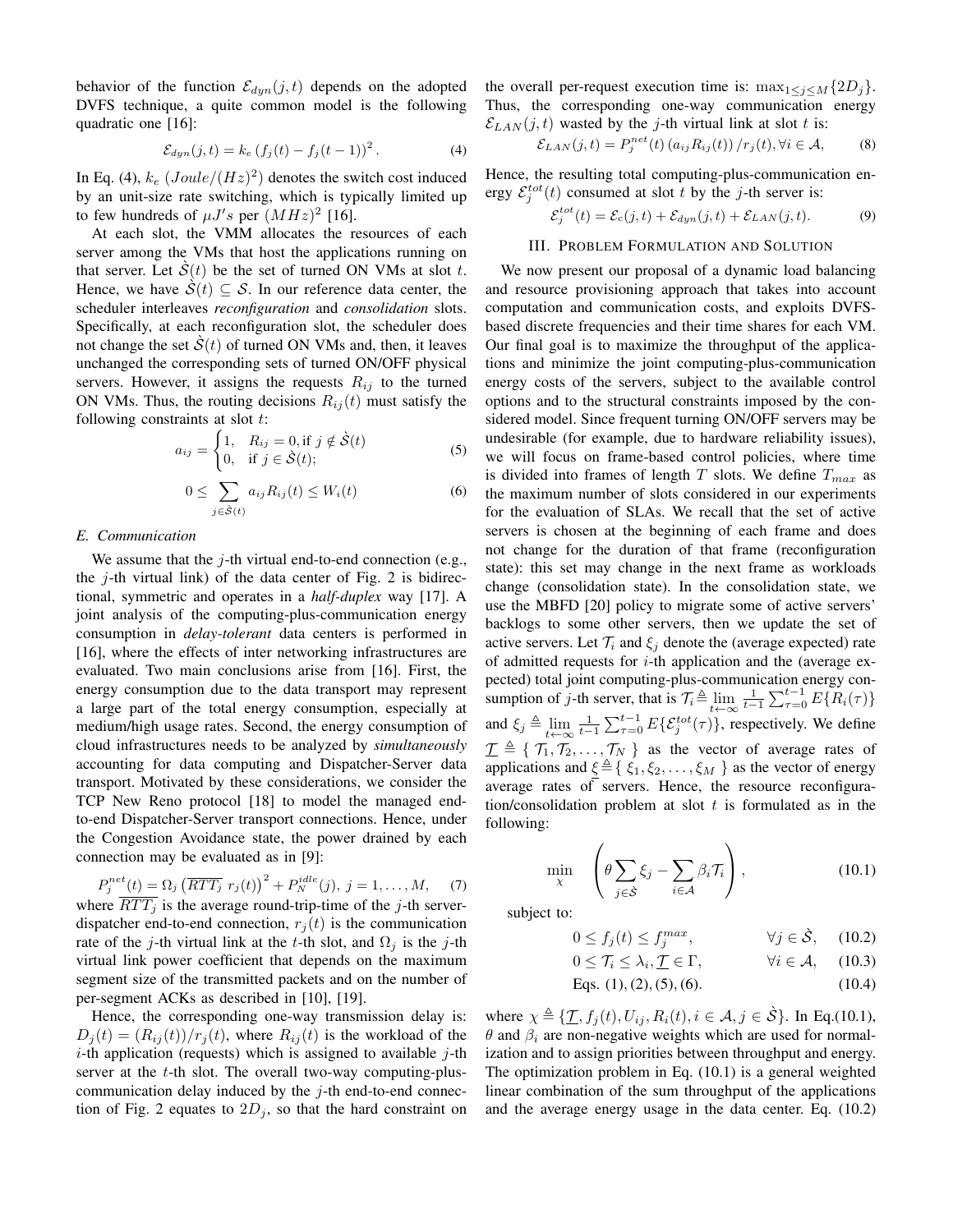behavior of the function  $\mathcal{E}_{dyn}(j, t)$  depends on the adopted DVFS technique, a quite common model is the following quadratic one [16]:

$$
\mathcal{E}_{dyn}(j,t) = k_e \left( f_j(t) - f_j(t-1) \right)^2.
$$
 (4)

In Eq. (4),  $k_e$   $(Joule/(Hz)^2)$  denotes the switch cost induced by an unit-size rate switching, which is typically limited up to few hundreds of  $\mu J$ 's per  $(MHz)^2$  [16].

At each slot, the VMM allocates the resources of each server among the VMs that host the applications running on that server. Let  $S(t)$  be the set of turned ON VMs at slot t. Hence, we have  $\dot{S}(t) \subseteq S$ . In our reference data center, the scheduler interleaves *reconfiguration* and *consolidation* slots. Specifically, at each reconfiguration slot, the scheduler does not change the set  $\hat{S}(t)$  of turned ON VMs and, then, it leaves unchanged the corresponding sets of turned ON/OFF physical servers. However, it assigns the requests  $R_{ij}$  to the turned ON VMs. Thus, the routing decisions  $R_{ij}(t)$  must satisfy the following constraints at slot  $t$ :

$$
a_{ij} = \begin{cases} 1, & R_{ij} = 0, \text{if } j \notin \dot{\mathcal{S}}(t) \\ 0, & \text{if } j \in \dot{\mathcal{S}}(t); \end{cases} \tag{5}
$$

$$
0 \leq \sum_{j \in \mathcal{S}(t)} a_{ij} R_{ij}(t) \leq W_i(t) \tag{6}
$$

#### *E. Communication*

We assume that the  $j$ -th virtual end-to-end connection (e.g., the j-th virtual link) of the data center of Fig. 2 is bidirectional, symmetric and operates in a *half-duplex* way [17]. A joint analysis of the computing-plus-communication energy consumption in *delay-tolerant* data centers is performed in [16], where the effects of inter networking infrastructures are evaluated. Two main conclusions arise from [16]. First, the energy consumption due to the data transport may represent a large part of the total energy consumption, especially at medium/high usage rates. Second, the energy consumption of cloud infrastructures needs to be analyzed by *simultaneously* accounting for data computing and Dispatcher-Server data transport. Motivated by these considerations, we consider the TCP New Reno protocol [18] to model the managed endto-end Dispatcher-Server transport connections. Hence, under the Congestion Avoidance state, the power drained by each connection may be evaluated as in [9]:

$$
P_j^{net}(t) = \Omega_j \left( \overline{RTT_j} \ r_j(t) \right)^2 + P_N^{idle}(j), \ j = 1, \dots, M, \tag{7}
$$

where  $RTT_j$  is the average round-trip-time of the j-th serverdispatcher end-to-end connection,  $r_j(t)$  is the communication rate of the j-th virtual link at the t-th slot, and  $\Omega_i$  is the j-th virtual link power coefficient that depends on the maximum segment size of the transmitted packets and on the number of per-segment ACKs as described in [10], [19].

Hence, the corresponding one-way transmission delay is:  $D_i(t) = (R_{ij}(t))/r_i(t)$ , where  $R_{ij}(t)$  is the workload of the *i*-th application (requests) which is assigned to available  $j$ -th server at the t-th slot. The overall two-way computing-pluscommunication delay induced by the  $j$ -th end-to-end connection of Fig. 2 equates to  $2D_i$ , so that the hard constraint on

the overall per-request execution time is:  $\max_{1 \leq j \leq M} \{2D_j\}.$ Thus, the corresponding one-way communication energy  $\mathcal{E}_{LAN}(j,t)$  wasted by the j-th virtual link at slot t is:

$$
\mathcal{E}_{LAN}(j,t) = P_j^{net}(t) (a_{ij} R_{ij}(t)) / r_j(t), \forall i \in \mathcal{A},
$$
 (8)

Hence, the resulting total computing-plus-communication energy  $\mathcal{E}_j^{tot}(t)$  consumed at slot t by the j-th server is:

$$
\mathcal{E}_j^{tot}(t) = \mathcal{E}_c(j, t) + \mathcal{E}_{dyn}(j, t) + \mathcal{E}_{LAN}(j, t). \tag{9}
$$

## III. PROBLEM FORMULATION AND SOLUTION

We now present our proposal of a dynamic load balancing and resource provisioning approach that takes into account computation and communication costs, and exploits DVFSbased discrete frequencies and their time shares for each VM. Our final goal is to maximize the throughput of the applications and minimize the joint computing-plus-communication energy costs of the servers, subject to the available control options and to the structural constraints imposed by the considered model. Since frequent turning ON/OFF servers may be undesirable (for example, due to hardware reliability issues), we will focus on frame-based control policies, where time is divided into frames of length  $T$  slots. We define  $T_{max}$  as the maximum number of slots considered in our experiments for the evaluation of SLAs. We recall that the set of active servers is chosen at the beginning of each frame and does not change for the duration of that frame (reconfiguration state): this set may change in the next frame as workloads change (consolidation state). In the consolidation state, we use the MBFD [20] policy to migrate some of active servers' backlogs to some other servers, then we update the set of active servers. Let  $\mathcal{T}_i$  and  $\xi_i$  denote the (average expected) rate of admitted requests for  $i$ -th application and the (average expected) total joint computing-plus-communication energy consumption of j-th server, that is  $\mathcal{T}_i \triangleq \lim_{t \leftarrow \infty} \frac{1}{t-1} \sum_{\tau=0}^{t-1} E\{R_i(\tau)\}$ and  $\xi_j \triangleq \lim_{t \to \infty} \frac{1}{t-1} \sum_{\tau=0}^{t-1} E\{\mathcal{E}_j^{tot}(\tau)\}\)$ , respectively. We define  $\mathcal{I} \triangleq \{ \mathcal{T}_1, \mathcal{T}_2, \ldots, \mathcal{T}_N \}$  as the vector of average rates of applications and  $\xi \triangleq \{ \xi_1, \xi_2, \dots, \xi_M \}$  as the vector of energy average rates of servers. Hence, the resource reconfiguration/consolidation problem at slot  $t$  is formulated as in the following:

$$
\min_{\chi} \quad \left(\theta \sum_{j \in \hat{\mathcal{S}}} \xi_j - \sum_{i \in \mathcal{A}} \beta_i \mathcal{T}_i\right),\tag{10.1}
$$

subject to:

$$
0 \le f_j(t) \le f_j^{max}, \qquad \forall j \in \hat{\mathcal{S}}, \quad (10.2)
$$

$$
0 \leq \mathcal{T}_i \leq \lambda_i, \mathcal{T} \in \Gamma, \qquad \forall i \in \mathcal{A}, \quad (10.3)
$$

Eqs. 
$$
(1), (2), (5), (6)
$$
. (10.4)

where  $\chi \triangleq \{ \mathcal{T}, f_j(t), U_{ij}, R_i(t), i \in \mathcal{A}, j \in \mathcal{S} \}$ . In Eq.(10.1),  $\theta$  and  $\beta_i$  are non-negative weights which are used for normalization and to assign priorities between throughput and energy. The optimization problem in Eq. (10.1) is a general weighted linear combination of the sum throughput of the applications and the average energy usage in the data center. Eq. (10.2)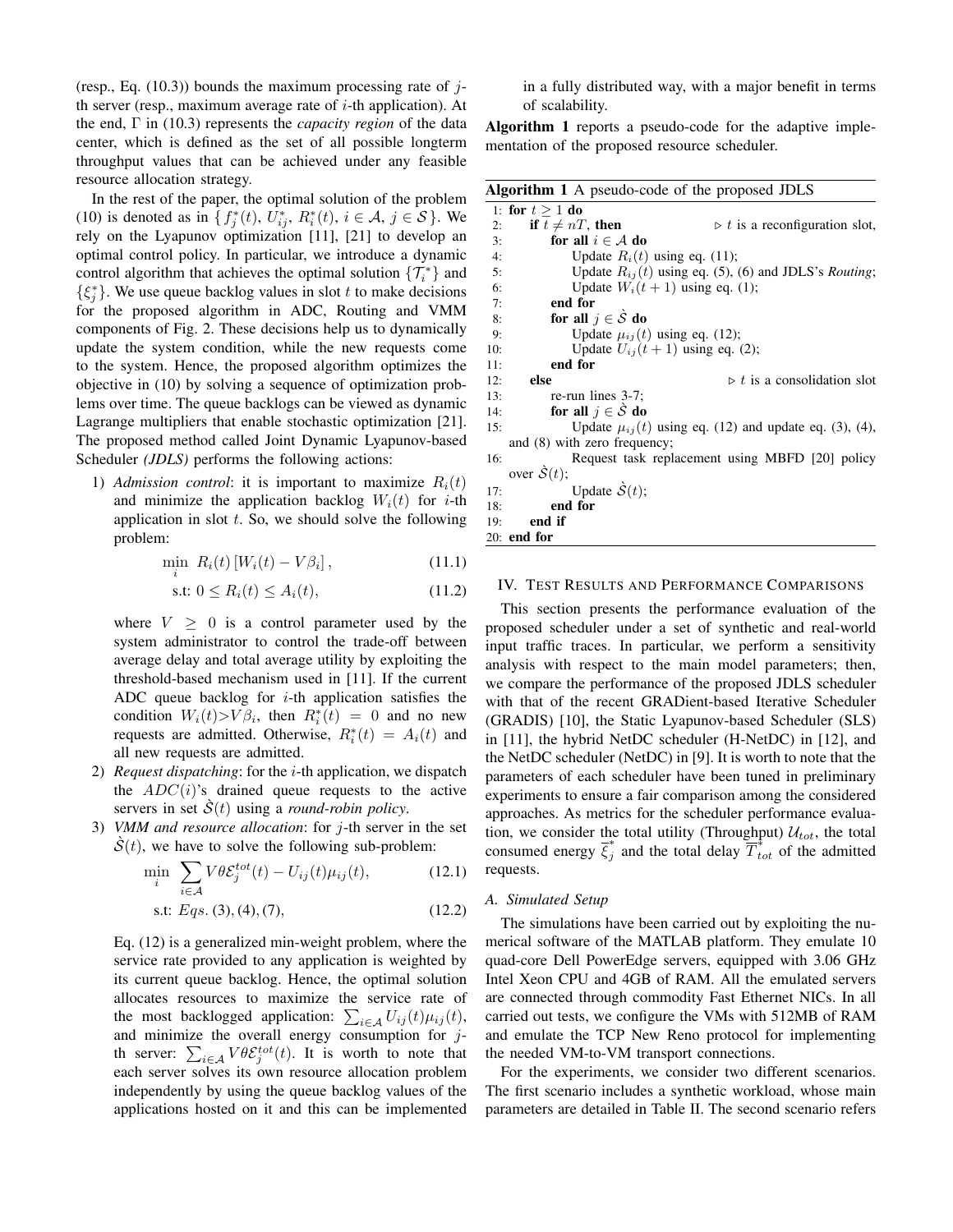(resp., Eq.  $(10.3)$ ) bounds the maximum processing rate of jth server (resp., maximum average rate of  $i$ -th application). At the end, Γ in (10.3) represents the *capacity region* of the data center, which is defined as the set of all possible longterm throughput values that can be achieved under any feasible resource allocation strategy.

In the rest of the paper, the optimal solution of the problem (10) is denoted as in  $\{f_j^*(t), U_{ij}^*, R_i^*(t), i \in \mathcal{A}, j \in \mathcal{S}\}$ . We rely on the Lyapunov optimization [11], [21] to develop an optimal control policy. In particular, we introduce a dynamic control algorithm that achieves the optimal solution  $\{T_i^*\}$  and  $\{\xi_j^*\}$ . We use queue backlog values in slot t to make decisions for the proposed algorithm in ADC, Routing and VMM components of Fig. 2. These decisions help us to dynamically update the system condition, while the new requests come to the system. Hence, the proposed algorithm optimizes the objective in (10) by solving a sequence of optimization problems over time. The queue backlogs can be viewed as dynamic Lagrange multipliers that enable stochastic optimization [21]. The proposed method called Joint Dynamic Lyapunov-based Scheduler *(JDLS)* performs the following actions:

1) *Admission control*: it is important to maximize  $R_i(t)$ and minimize the application backlog  $W_i(t)$  for *i*-th application in slot  $t$ . So, we should solve the following problem:

$$
\min_{i} R_i(t) \left[ W_i(t) - V\beta_i \right], \tag{11.1}
$$

s.t: 
$$
0 \le R_i(t) \le A_i(t)
$$
, (11.2)

where  $V \geq 0$  is a control parameter used by the system administrator to control the trade-off between average delay and total average utility by exploiting the threshold-based mechanism used in [11]. If the current ADC queue backlog for  $i$ -th application satisfies the condition  $W_i(t) > V\beta_i$ , then  $R_i^*(t) = 0$  and no new requests are admitted. Otherwise,  $R_i^*(t) = A_i(t)$  and all new requests are admitted.

- 2) *Request dispatching*: for the i-th application, we dispatch the  $ADC(i)$ 's drained queue requests to the active servers in set  $S(t)$  using a *round-robin policy*.
- 3) *VMM and resource allocation*: for j-th server in the set  $\dot{S}(t)$ , we have to solve the following sub-problem:

$$
\min_{i} \sum_{i \in \mathcal{A}} V\theta \mathcal{E}_{j}^{tot}(t) - U_{ij}(t)\mu_{ij}(t),
$$
\n(12.1)  
\ns.t: Eqs. (3), (4), (7), (12.2)

Eq. (12) is a generalized min-weight problem, where the service rate provided to any application is weighted by its current queue backlog. Hence, the optimal solution allocates resources to maximize the service rate of the most backlogged application:  $\sum_{i \in A} U_{ij}(t) \mu_{ij}(t)$ , and minimize the overall energy consumption for  $j$ th server:  $\sum_{i \in A} V \theta \mathcal{E}_j^{tot}(t)$ . It is worth to note that each server solves its own resource allocation problem independently by using the queue backlog values of the applications hosted on it and this can be implemented in a fully distributed way, with a major benefit in terms of scalability.

Algorithm 1 reports a pseudo-code for the adaptive implementation of the proposed resource scheduler.

| Algorithm 1 A pseudo-code of the proposed JDLS |                                      |                                                              |  |  |  |
|------------------------------------------------|--------------------------------------|--------------------------------------------------------------|--|--|--|
|                                                | 1: for $t > 1$ do                    |                                                              |  |  |  |
| 2:                                             | if $t \neq nT$ , then                | $\triangleright$ t is a reconfiguration slot,                |  |  |  |
| 3:                                             | for all $i \in A$ do                 |                                                              |  |  |  |
| 4:                                             | Update $R_i(t)$ using eq. (11);      |                                                              |  |  |  |
| 5:                                             |                                      | Update $R_{ij}(t)$ using eq. (5), (6) and JDLS's Routing;    |  |  |  |
| 6:                                             |                                      | Update $W_i(t+1)$ using eq. (1);                             |  |  |  |
| 7:                                             | end for                              |                                                              |  |  |  |
| 8:                                             | for all $j \in \hat{S}$ do           |                                                              |  |  |  |
| 9:                                             | Update $\mu_{ij}(t)$ using eq. (12); |                                                              |  |  |  |
| 10:                                            |                                      | Update $U_{ij}(t+1)$ using eq. (2);                          |  |  |  |
| 11:                                            | end for                              |                                                              |  |  |  |
| 12:                                            | else                                 | $\triangleright$ t is a consolidation slot                   |  |  |  |
|                                                | re-run lines $3-7$ ;<br>13:          |                                                              |  |  |  |
| 14:                                            | for all $j \in S$ do                 |                                                              |  |  |  |
| 15:                                            |                                      | Update $\mu_{ij}(t)$ using eq. (12) and update eq. (3), (4), |  |  |  |
|                                                | and (8) with zero frequency;         |                                                              |  |  |  |
| 16:                                            |                                      | Request task replacement using MBFD [20] policy              |  |  |  |
|                                                | over $\dot{S}(t)$ ;                  |                                                              |  |  |  |
| 17:                                            | Update $\hat{S}(t)$ ;                |                                                              |  |  |  |
| 18:                                            | end for                              |                                                              |  |  |  |
| 19:                                            | end if                               |                                                              |  |  |  |
|                                                | $20:$ end for                        |                                                              |  |  |  |

#### IV. TEST RESULTS AND PERFORMANCE COMPARISONS

This section presents the performance evaluation of the proposed scheduler under a set of synthetic and real-world input traffic traces. In particular, we perform a sensitivity analysis with respect to the main model parameters; then, we compare the performance of the proposed JDLS scheduler with that of the recent GRADient-based Iterative Scheduler (GRADIS) [10], the Static Lyapunov-based Scheduler (SLS) in [11], the hybrid NetDC scheduler (H-NetDC) in [12], and the NetDC scheduler (NetDC) in [9]. It is worth to note that the parameters of each scheduler have been tuned in preliminary experiments to ensure a fair comparison among the considered approaches. As metrics for the scheduler performance evaluation, we consider the total utility (Throughput)  $\mathcal{U}_{tot}$ , the total consumed energy  $\overline{\xi}_i^*$ <sup>\*</sup>/<sub>j</sub> and the total delay  $\overline{T}_{tot}^*$  of the admitted requests.

## *A. Simulated Setup*

The simulations have been carried out by exploiting the numerical software of the MATLAB platform. They emulate 10 quad-core Dell PowerEdge servers, equipped with 3.06 GHz Intel Xeon CPU and 4GB of RAM. All the emulated servers are connected through commodity Fast Ethernet NICs. In all carried out tests, we configure the VMs with 512MB of RAM and emulate the TCP New Reno protocol for implementing the needed VM-to-VM transport connections.

For the experiments, we consider two different scenarios. The first scenario includes a synthetic workload, whose main parameters are detailed in Table II. The second scenario refers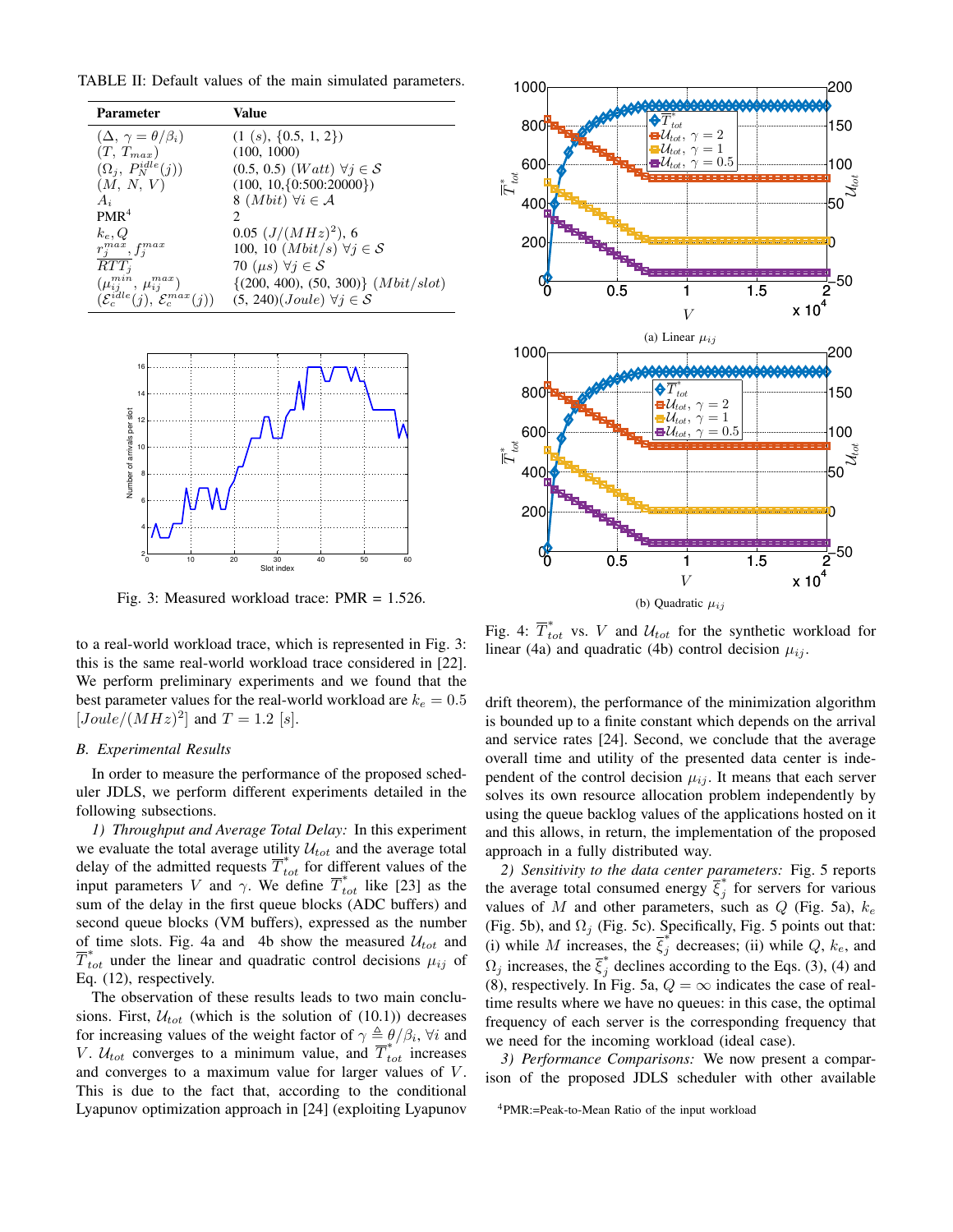TABLE II: Default values of the main simulated parameters.

| <b>Parameter</b>                                    | Value                                          |
|-----------------------------------------------------|------------------------------------------------|
| $(\Delta, \gamma = \theta/\beta_i)$                 | $(1 (s), \{0.5, 1, 2\})$                       |
| $(T, T_{max})$                                      | (100, 1000)                                    |
| $(\Omega_j, P_N^{idle}(j))$                         | $(0.5, 0.5)$ $(Watt)$ $\forall j \in S$        |
| (M, N, V)                                           | $(100, 10, \{0:500:20000\})$                   |
| $A_i$                                               | 8 ( <i>Mbit</i> ) $\forall i \in \mathcal{A}$  |
| PMR <sup>4</sup>                                    | 2                                              |
| $k_e, Q$                                            | $0.05~(J/(MHz)^2)$ , 6                         |
| $r_j^{max}, f_j^{max}$                              | 100, 10 $(Mbit/s) \ \forall j \in S$           |
| $RTT_i$                                             | 70 $(\mu s)$ $\forall j \in S$                 |
| $(\mu_{ij}^{min}, \mu_{ij}^{max})$                  | $\{(200, 400), (50, 300)\}\ (Mbit/slot)$       |
| $(\mathcal{E}_c^{idle}(j), \mathcal{E}_c^{max}(j))$ | $(5, 240) (Joule) \ \forall j \in \mathcal{S}$ |



Fig. 3: Measured workload trace: PMR = 1.526.

to a real-world workload trace, which is represented in Fig. 3: this is the same real-world workload trace considered in [22]. We perform preliminary experiments and we found that the best parameter values for the real-world workload are  $k_e = 0.5$ [*Joule*/( $MHz$ )<sup>2</sup>] and  $T = 1.2$  [s].

#### *B. Experimental Results*

In order to measure the performance of the proposed scheduler JDLS, we perform different experiments detailed in the following subsections.

*1) Throughput and Average Total Delay:* In this experiment we evaluate the total average utility  $U_{tot}$  and the average total delay of the admitted requests  $\overline{T}_{tot}^*$  for different values of the input parameters V and  $\gamma$ . We define  $\overline{T}_{tot}^*$  like [23] as the sum of the delay in the first queue blocks (ADC buffers) and second queue blocks (VM buffers), expressed as the number of time slots. Fig. 4a and 4b show the measured  $U_{tot}$  and  $\overline{T}_{tot}^*$  under the linear and quadratic control decisions  $\mu_{ij}$  of Eq. (12), respectively.

The observation of these results leads to two main conclusions. First,  $U_{tot}$  (which is the solution of (10.1)) decreases for increasing values of the weight factor of  $\gamma \triangleq \theta/\beta_i$ ,  $\forall i$  and V.  $U_{tot}$  converges to a minimum value, and  $\overline{T}_{tot}^{*/}$  increases and converges to a maximum value for larger values of V. This is due to the fact that, according to the conditional



Fig. 4:  $\overline{T}_{tot}^*$  vs. V and  $\mathcal{U}_{tot}$  for the synthetic workload for linear (4a) and quadratic (4b) control decision  $\mu_{ij}$ .

drift theorem), the performance of the minimization algorithm is bounded up to a finite constant which depends on the arrival and service rates [24]. Second, we conclude that the average overall time and utility of the presented data center is independent of the control decision  $\mu_{ij}$ . It means that each server solves its own resource allocation problem independently by using the queue backlog values of the applications hosted on it and this allows, in return, the implementation of the proposed approach in a fully distributed way.

*2) Sensitivity to the data center parameters:* Fig. 5 reports the average total consumed energy  $\overline{\xi}_i^*$  $j$  for servers for various values of M and other parameters, such as  $Q$  (Fig. 5a),  $k_e$ (Fig. 5b), and  $\Omega_j$  (Fig. 5c). Specifically, Fig. 5 points out that: (i) while M increases, the  $\overline{\xi}_j^*$  decreases; (ii) while Q,  $k_e$ , and  $\Omega_j$  increases, the  $\overline{\xi}_j^*$  declines according to the Eqs. (3), (4) and (8), respectively. In Fig. 5a,  $Q = \infty$  indicates the case of realtime results where we have no queues: in this case, the optimal frequency of each server is the corresponding frequency that we need for the incoming workload (ideal case).

*3) Performance Comparisons:* We now present a comparison of the proposed JDLS scheduler with other available

<sup>4</sup>PMR:=Peak-to-Mean Ratio of the input workload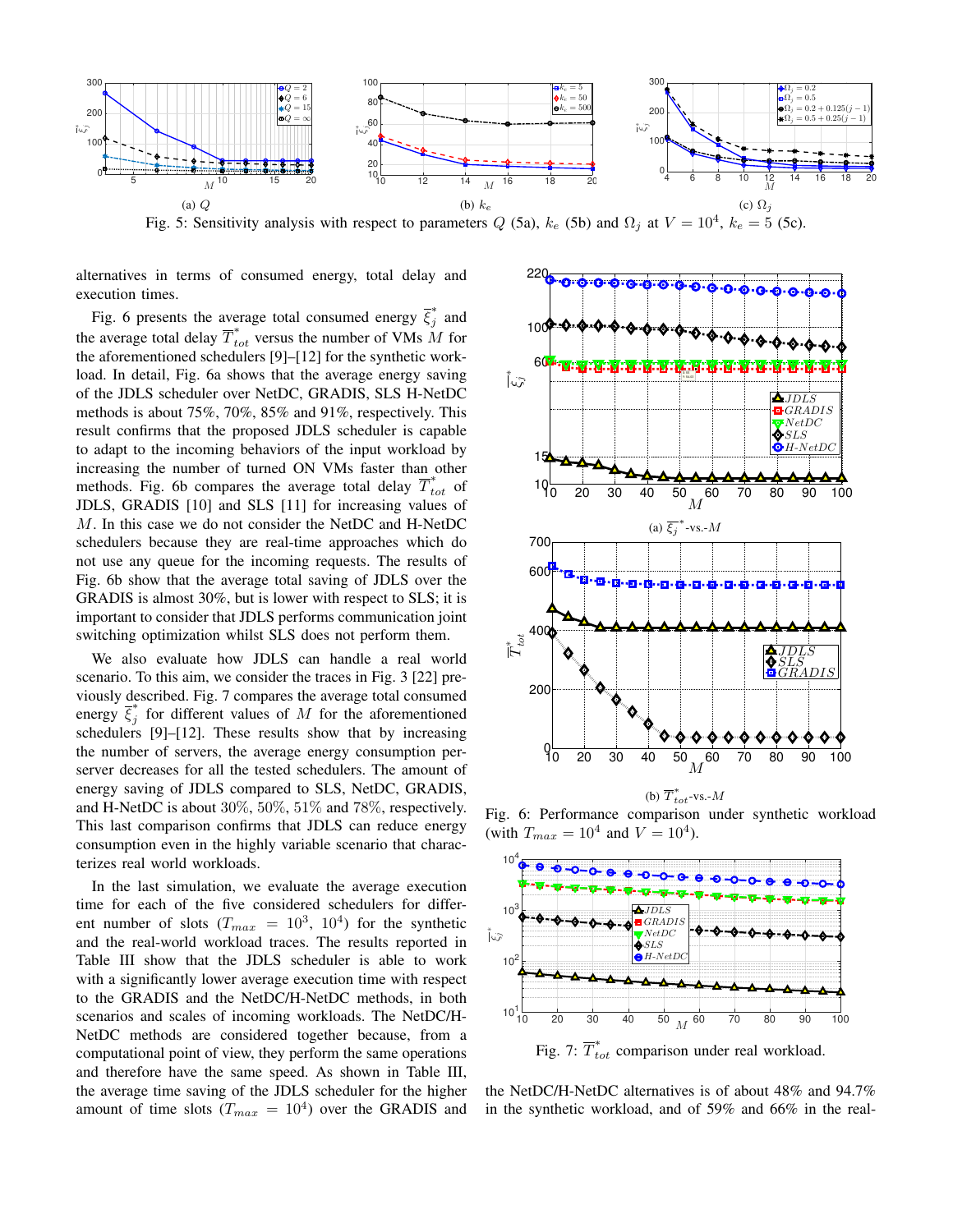

Fig. 5: Sensitivity analysis with respect to parameters Q (5a),  $k_e$  (5b) and  $\Omega_j$  at  $V = 10^4$ ,  $k_e = 5$  (5c).

alternatives in terms of consumed energy, total delay and execution times.

Fig. 6 presents the average total consumed energy  $\overline{\xi}_i^*$  $j$  and the average total delay  $\overline{T}_{tot}^*$  versus the number of VMs M for the aforementioned schedulers [9]–[12] for the synthetic workload. In detail, Fig. 6a shows that the average energy saving of the JDLS scheduler over NetDC, GRADIS, SLS H-NetDC methods is about 75%, 70%, 85% and 91%, respectively. This result confirms that the proposed JDLS scheduler is capable to adapt to the incoming behaviors of the input workload by increasing the number of turned ON VMs faster than other methods. Fig. 6b compares the average total delay  $\overline{T}_{tot}^*$  of JDLS, GRADIS [10] and SLS [11] for increasing values of M. In this case we do not consider the NetDC and H-NetDC schedulers because they are real-time approaches which do not use any queue for the incoming requests. The results of Fig. 6b show that the average total saving of JDLS over the GRADIS is almost 30%, but is lower with respect to SLS; it is important to consider that JDLS performs communication joint switching optimization whilst SLS does not perform them.

We also evaluate how JDLS can handle a real world scenario. To this aim, we consider the traces in Fig. 3 [22] previously described. Fig. 7 compares the average total consumed energy  $\overline{\xi}_i^*$  $\int_{j}^{\pi}$  for different values of M for the aforementioned schedulers [9]–[12]. These results show that by increasing the number of servers, the average energy consumption perserver decreases for all the tested schedulers. The amount of energy saving of JDLS compared to SLS, NetDC, GRADIS, and H-NetDC is about 30%, 50%, 51% and 78%, respectively. This last comparison confirms that JDLS can reduce energy consumption even in the highly variable scenario that characterizes real world workloads.

In the last simulation, we evaluate the average execution time for each of the five considered schedulers for different number of slots  $(T_{max} = 10^3, 10^4)$  for the synthetic and the real-world workload traces. The results reported in Table III show that the JDLS scheduler is able to work with a significantly lower average execution time with respect to the GRADIS and the NetDC/H-NetDC methods, in both scenarios and scales of incoming workloads. The NetDC/H-NetDC methods are considered together because, from a computational point of view, they perform the same operations and therefore have the same speed. As shown in Table III, the average time saving of the JDLS scheduler for the higher amount of time slots ( $T_{max} = 10^4$ ) over the GRADIS and



Fig. 6: Performance comparison under synthetic workload (with  $T_{max} = 10^4$  and  $V = 10^4$ ).



Fig. 7:  $\overline{T}_{tot}^*$  comparison under real workload.

the NetDC/H-NetDC alternatives is of about 48% and 94.7% in the synthetic workload, and of 59% and 66% in the real-